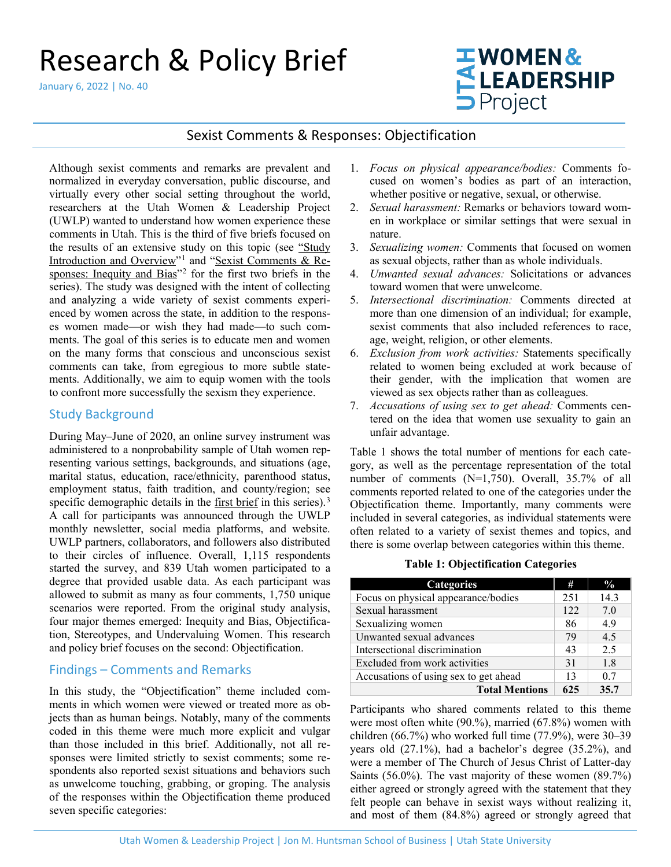# Research & Policy Brief

January 6, 2022 | No. 40

# **TWOMEN& ELEADERSHIP**

# Sexist Comments & Responses: Objectification

Although sexist comments and remarks are prevalent and normalized in everyday conversation, public discourse, and virtually every other social setting throughout the world, researchers at the [Utah Women & Leadership Project](http://www.utwomen.org/) (UWLP) wanted to understand how women experience these comments in Utah. This is the third of five briefs focused on the results of an extensive study on this topic (see ["Study](https://www.usu.edu/uwlp/files/briefs/38-sexist-comments-study-introduction-overview.pdf) Introduction and Overview"[1](#page-5-0) and ["Sexist Comments & Re](https://www.usu.edu/uwlp/files/briefs/39-sexist-comments-inequity-bias.pdf)[sponses: Inequity and Bias"](https://www.usu.edu/uwlp/files/briefs/39-sexist-comments-inequity-bias.pdf)<sup>[2](#page-5-1)</sup> for the first two briefs in the series). The study was designed with the intent of collecting and analyzing a wide variety of sexist comments experienced by women across the state, in addition to the responses women made—or wish they had made—to such comments. The goal of this series is to educate men and women on the many forms that conscious and unconscious sexist comments can take, from egregious to more subtle statements. Additionally, we aim to equip women with the tools to confront more successfully the sexism they experience.

# Study Background

During May–June of 2020, an online survey instrument was administered to a nonprobability sample of Utah women representing various settings, backgrounds, and situations (age, marital status, education, race/ethnicity, parenthood status, employment status, faith tradition, and county/region; see specific demographic details in the [first brief](https://www.usu.edu/uwlp/files/briefs/38-sexist-comments-study-introduction-overview.pdf) in this series).<sup>[3](#page-5-2)</sup> A call for participants was announced through the UWLP monthly newsletter, social media platforms, and website. UWLP partners, collaborators, and followers also distributed to their circles of influence. Overall, 1,115 respondents started the survey, and 839 Utah women participated to a degree that provided usable data. As each participant was allowed to submit as many as four comments, 1,750 unique scenarios were reported. From the original study analysis, four major themes emerged: Inequity and Bias, Objectification, Stereotypes, and Undervaluing Women. This research and policy brief focuses on the second: Objectification.

# Findings – Comments and Remarks

In this study, the "Objectification" theme included comments in which women were viewed or treated more as objects than as human beings. Notably, many of the comments coded in this theme were much more explicit and vulgar than those included in this brief. Additionally, not all responses were limited strictly to sexist comments; some respondents also reported sexist situations and behaviors such as unwelcome touching, grabbing, or groping. The analysis of the responses within the Objectification theme produced seven specific categories:

- 1. *Focus on physical appearance/bodies:* Comments focused on women's bodies as part of an interaction, whether positive or negative, sexual, or otherwise.
- 2. *Sexual harassment:* Remarks or behaviors toward women in workplace or similar settings that were sexual in nature.
- 3. *Sexualizing women:* Comments that focused on women as sexual objects, rather than as whole individuals.
- 4. *Unwanted sexual advances:* Solicitations or advances toward women that were unwelcome.
- 5. *Intersectional discrimination:* Comments directed at more than one dimension of an individual; for example, sexist comments that also included references to race, age, weight, religion, or other elements.
- 6. *Exclusion from work activities:* Statements specifically related to women being excluded at work because of their gender, with the implication that women are viewed as sex objects rather than as colleagues.
- 7. *Accusations of using sex to get ahead:* Comments centered on the idea that women use sexuality to gain an unfair advantage.

Table 1 shows the total number of mentions for each category, as well as the percentage representation of the total number of comments (N=1,750). Overall, 35.7% of all comments reported related to one of the categories under the Objectification theme. Importantly, many comments were included in several categories, as individual statements were often related to a variety of sexist themes and topics, and there is some overlap between categories within this theme.

#### **Table 1: Objectification Categories**

| <b>Categories</b>                     | #    | $\frac{0}{0}$ |
|---------------------------------------|------|---------------|
| Focus on physical appearance/bodies   | 251  | 14.3          |
| Sexual harassment                     | 122. | 7.0           |
| Sexualizing women                     | 86   | 4.9           |
| Unwanted sexual advances              | 79   | 4.5           |
| Intersectional discrimination         | 43   | 2.5           |
| Excluded from work activities         | 31   | 1.8           |
| Accusations of using sex to get ahead | 13   | 0.7           |
| <b>Total Mentions</b>                 | 625  | 35.7          |

Participants who shared comments related to this theme were most often white (90.%), married (67.8%) women with children (66.7%) who worked full time (77.9%), were 30–39 years old (27.1%), had a bachelor's degree (35.2%), and were a member of The Church of Jesus Christ of Latter-day Saints (56.0%). The vast majority of these women (89.7%) either agreed or strongly agreed with the statement that they felt people can behave in sexist ways without realizing it, and most of them (84.8%) agreed or strongly agreed that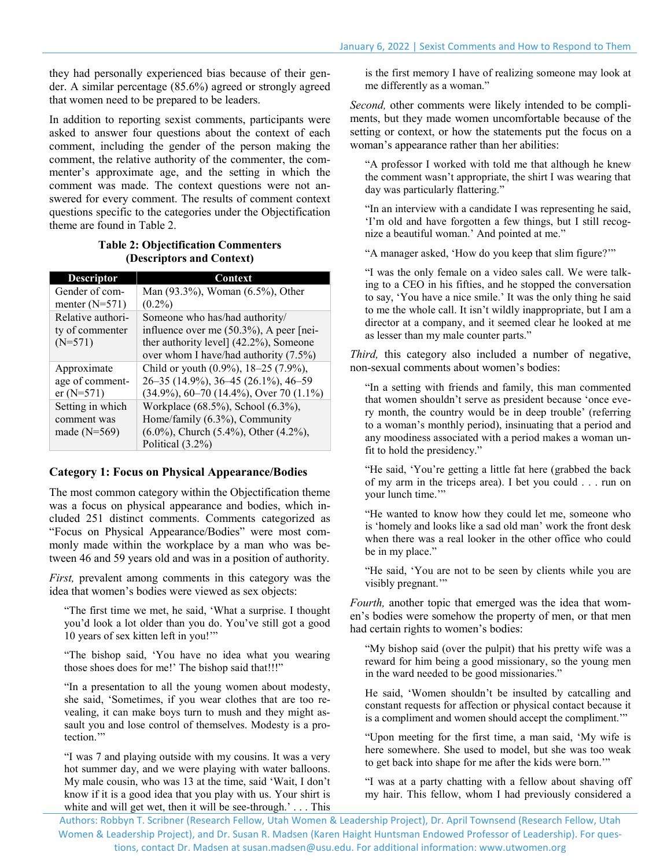they had personally experienced bias because of their gender. A similar percentage (85.6%) agreed or strongly agreed that women need to be prepared to be leaders.

In addition to reporting sexist comments, participants were asked to answer four questions about the context of each comment, including the gender of the person making the comment, the relative authority of the commenter, the commenter's approximate age, and the setting in which the comment was made. The context questions were not answered for every comment. The results of comment context questions specific to the categories under the Objectification theme are found in Table 2.

## **Table 2: Objectification Commenters (Descriptors and Context)**

| <b>Descriptor</b> | Context                                          |
|-------------------|--------------------------------------------------|
| Gender of com-    | Man (93.3%), Woman (6.5%), Other                 |
| menter $(N=571)$  | $(0.2\%)$                                        |
| Relative authori- | Someone who has/had authority/                   |
| ty of commenter   | influence over me (50.3%), A peer [nei-          |
| $(N=571)$         | ther authority level] (42.2%), Someone           |
|                   | over whom I have/had authority (7.5%)            |
| Approximate       | Child or youth (0.9%), 18–25 (7.9%),             |
| age of comment-   | 26-35 (14.9%), 36-45 (26.1%), 46-59              |
| $er(N=571)$       | $(34.9\%)$ , 60-70 (14.4%), Over 70 (1.1%)       |
| Setting in which  | Workplace (68.5%), School (6.3%),                |
| comment was       | Home/family (6.3%), Community                    |
| made $(N=569)$    | $(6.0\%)$ , Church $(5.4\%)$ , Other $(4.2\%)$ , |
|                   | Political (3.2%)                                 |

## **Category 1: Focus on Physical Appearance/Bodies**

The most common category within the Objectification theme was a focus on physical appearance and bodies, which included 251 distinct comments. Comments categorized as "Focus on Physical Appearance/Bodies" were most commonly made within the workplace by a man who was between 46 and 59 years old and was in a position of authority.

*First,* prevalent among comments in this category was the idea that women's bodies were viewed as sex objects:

"The first time we met, he said, 'What a surprise. I thought you'd look a lot older than you do. You've still got a good 10 years of sex kitten left in you!'"

"The bishop said, 'You have no idea what you wearing those shoes does for me!' The bishop said that!!!"

"In a presentation to all the young women about modesty, she said, 'Sometimes, if you wear clothes that are too revealing, it can make boys turn to mush and they might assault you and lose control of themselves. Modesty is a protection."

"I was 7 and playing outside with my cousins. It was a very hot summer day, and we were playing with water balloons. My male cousin, who was 13 at the time, said 'Wait, I don't know if it is a good idea that you play with us. Your shirt is white and will get wet, then it will be see-through.' . . . This is the first memory I have of realizing someone may look at me differently as a woman."

*Second,* other comments were likely intended to be compliments, but they made women uncomfortable because of the setting or context, or how the statements put the focus on a woman's appearance rather than her abilities:

"A professor I worked with told me that although he knew the comment wasn't appropriate, the shirt I was wearing that day was particularly flattering."

"In an interview with a candidate I was representing he said, 'I'm old and have forgotten a few things, but I still recognize a beautiful woman.' And pointed at me."

"A manager asked, 'How do you keep that slim figure?'"

"I was the only female on a video sales call. We were talking to a CEO in his fifties, and he stopped the conversation to say, 'You have a nice smile.' It was the only thing he said to me the whole call. It isn't wildly inappropriate, but I am a director at a company, and it seemed clear he looked at me as lesser than my male counter parts."

*Third,* this category also included a number of negative, non-sexual comments about women's bodies:

"In a setting with friends and family, this man commented that women shouldn't serve as president because 'once every month, the country would be in deep trouble' (referring to a woman's monthly period), insinuating that a period and any moodiness associated with a period makes a woman unfit to hold the presidency."

"He said, 'You're getting a little fat here (grabbed the back of my arm in the triceps area). I bet you could . . . run on your lunch time."

"He wanted to know how they could let me, someone who is 'homely and looks like a sad old man' work the front desk when there was a real looker in the other office who could be in my place."

"He said, 'You are not to be seen by clients while you are visibly pregnant."

*Fourth,* another topic that emerged was the idea that women's bodies were somehow the property of men, or that men had certain rights to women's bodies:

"My bishop said (over the pulpit) that his pretty wife was a reward for him being a good missionary, so the young men in the ward needed to be good missionaries."

He said, 'Women shouldn't be insulted by catcalling and constant requests for affection or physical contact because it is a compliment and women should accept the compliment.'"

"Upon meeting for the first time, a man said, 'My wife is here somewhere. She used to model, but she was too weak to get back into shape for me after the kids were born.'"

"I was at a party chatting with a fellow about shaving off my hair. This fellow, whom I had previously considered a

Authors: Robbyn T. Scribner (Research Fellow, Utah Women & Leadership Project), Dr. April Townsend (Research Fellow, Utah Women & Leadership Project), and Dr. Susan R. Madsen (Karen Haight Huntsman Endowed Professor of Leadership). For questions, contact Dr. Madsen a[t susan.madsen@usu.edu.](mailto:susan.madsen@usu.edu) For additional information[: www.utwomen.org](http://utwomen.org/)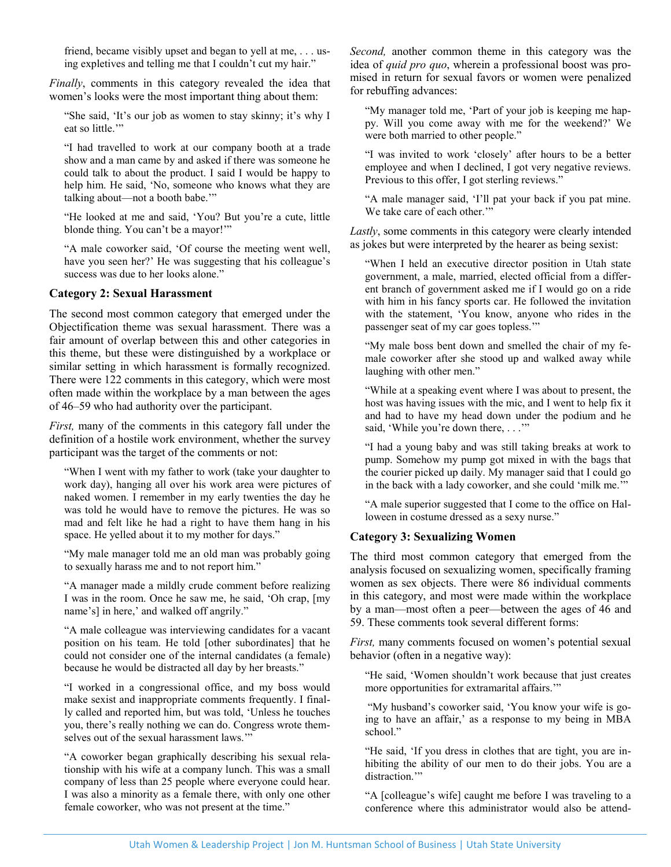friend, became visibly upset and began to yell at me, . . . using expletives and telling me that I couldn't cut my hair."

*Finally*, comments in this category revealed the idea that women's looks were the most important thing about them:

"She said, 'It's our job as women to stay skinny; it's why I eat so little."

"I had travelled to work at our company booth at a trade show and a man came by and asked if there was someone he could talk to about the product. I said I would be happy to help him. He said, 'No, someone who knows what they are talking about—not a booth babe.'"

"He looked at me and said, 'You? But you're a cute, little blonde thing. You can't be a mayor!'"

"A male coworker said, 'Of course the meeting went well, have you seen her?' He was suggesting that his colleague's success was due to her looks alone."

### **Category 2: Sexual Harassment**

The second most common category that emerged under the Objectification theme was sexual harassment. There was a fair amount of overlap between this and other categories in this theme, but these were distinguished by a workplace or similar setting in which harassment is formally recognized. There were 122 comments in this category, which were most often made within the workplace by a man between the ages of 46–59 who had authority over the participant.

*First,* many of the comments in this category fall under the definition of a hostile work environment, whether the survey participant was the target of the comments or not:

"When I went with my father to work (take your daughter to work day), hanging all over his work area were pictures of naked women. I remember in my early twenties the day he was told he would have to remove the pictures. He was so mad and felt like he had a right to have them hang in his space. He yelled about it to my mother for days."

"My male manager told me an old man was probably going to sexually harass me and to not report him."

"A manager made a mildly crude comment before realizing I was in the room. Once he saw me, he said, 'Oh crap, [my name's] in here,' and walked off angrily."

"A male colleague was interviewing candidates for a vacant position on his team. He told [other subordinates] that he could not consider one of the internal candidates (a female) because he would be distracted all day by her breasts."

"I worked in a congressional office, and my boss would make sexist and inappropriate comments frequently. I finally called and reported him, but was told, 'Unless he touches you, there's really nothing we can do. Congress wrote themselves out of the sexual harassment laws."

"A coworker began graphically describing his sexual relationship with his wife at a company lunch. This was a small company of less than 25 people where everyone could hear. I was also a minority as a female there, with only one other female coworker, who was not present at the time."

*Second,* another common theme in this category was the idea of *quid pro quo*, wherein a professional boost was promised in return for sexual favors or women were penalized for rebuffing advances:

"My manager told me, 'Part of your job is keeping me happy. Will you come away with me for the weekend?' We were both married to other people."

"I was invited to work 'closely' after hours to be a better employee and when I declined, I got very negative reviews. Previous to this offer, I got sterling reviews."

"A male manager said, 'I'll pat your back if you pat mine. We take care of each other.""

*Lastly*, some comments in this category were clearly intended as jokes but were interpreted by the hearer as being sexist:

"When I held an executive director position in Utah state government, a male, married, elected official from a different branch of government asked me if I would go on a ride with him in his fancy sports car. He followed the invitation with the statement, 'You know, anyone who rides in the passenger seat of my car goes topless.'"

"My male boss bent down and smelled the chair of my female coworker after she stood up and walked away while laughing with other men."

"While at a speaking event where I was about to present, the host was having issues with the mic, and I went to help fix it and had to have my head down under the podium and he said, 'While you're down there, . . .'"

"I had a young baby and was still taking breaks at work to pump. Somehow my pump got mixed in with the bags that the courier picked up daily. My manager said that I could go in the back with a lady coworker, and she could 'milk me.'"

"A male superior suggested that I come to the office on Halloween in costume dressed as a sexy nurse."

## **Category 3: Sexualizing Women**

The third most common category that emerged from the analysis focused on sexualizing women, specifically framing women as sex objects. There were 86 individual comments in this category, and most were made within the workplace by a man—most often a peer—between the ages of 46 and 59. These comments took several different forms:

*First,* many comments focused on women's potential sexual behavior (often in a negative way):

"He said, 'Women shouldn't work because that just creates more opportunities for extramarital affairs.'"

"My husband's coworker said, 'You know your wife is going to have an affair,' as a response to my being in MBA school."

"He said, 'If you dress in clothes that are tight, you are inhibiting the ability of our men to do their jobs. You are a distraction."

"A [colleague's wife] caught me before I was traveling to a conference where this administrator would also be attend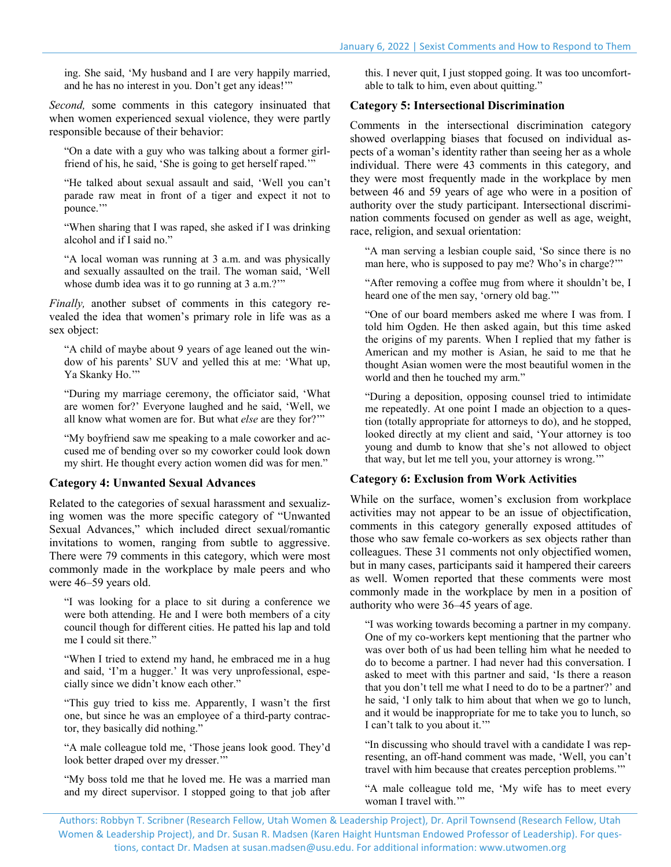ing. She said, 'My husband and I are very happily married, and he has no interest in you. Don't get any ideas!'"

*Second,* some comments in this category insinuated that when women experienced sexual violence, they were partly responsible because of their behavior:

"On a date with a guy who was talking about a former girlfriend of his, he said, 'She is going to get herself raped.'"

"He talked about sexual assault and said, 'Well you can't parade raw meat in front of a tiger and expect it not to pounce."

"When sharing that I was raped, she asked if I was drinking alcohol and if I said no."

"A local woman was running at 3 a.m. and was physically and sexually assaulted on the trail. The woman said, 'Well whose dumb idea was it to go running at 3 a.m.?"

*Finally,* another subset of comments in this category revealed the idea that women's primary role in life was as a sex object:

"A child of maybe about 9 years of age leaned out the window of his parents' SUV and yelled this at me: 'What up, Ya Skanky Ho."

"During my marriage ceremony, the officiator said, 'What are women for?' Everyone laughed and he said, 'Well, we all know what women are for. But what *else* are they for?'"

"My boyfriend saw me speaking to a male coworker and accused me of bending over so my coworker could look down my shirt. He thought every action women did was for men."

#### **Category 4: Unwanted Sexual Advances**

Related to the categories of sexual harassment and sexualizing women was the more specific category of "Unwanted Sexual Advances," which included direct sexual/romantic invitations to women, ranging from subtle to aggressive. There were 79 comments in this category, which were most commonly made in the workplace by male peers and who were 46–59 years old.

"I was looking for a place to sit during a conference we were both attending. He and I were both members of a city council though for different cities. He patted his lap and told me I could sit there."

"When I tried to extend my hand, he embraced me in a hug and said, 'I'm a hugger.' It was very unprofessional, especially since we didn't know each other."

"This guy tried to kiss me. Apparently, I wasn't the first one, but since he was an employee of a third-party contractor, they basically did nothing."

"A male colleague told me, 'Those jeans look good. They'd look better draped over my dresser.'"

"My boss told me that he loved me. He was a married man and my direct supervisor. I stopped going to that job after this. I never quit, I just stopped going. It was too uncomfortable to talk to him, even about quitting."

#### **Category 5: Intersectional Discrimination**

Comments in the intersectional discrimination category showed overlapping biases that focused on individual aspects of a woman's identity rather than seeing her as a whole individual. There were 43 comments in this category, and they were most frequently made in the workplace by men between 46 and 59 years of age who were in a position of authority over the study participant. Intersectional discrimination comments focused on gender as well as age, weight, race, religion, and sexual orientation:

"A man serving a lesbian couple said, 'So since there is no man here, who is supposed to pay me? Who's in charge?""

"After removing a coffee mug from where it shouldn't be, I heard one of the men say, 'ornery old bag.'"

"One of our board members asked me where I was from. I told him Ogden. He then asked again, but this time asked the origins of my parents. When I replied that my father is American and my mother is Asian, he said to me that he thought Asian women were the most beautiful women in the world and then he touched my arm."

"During a deposition, opposing counsel tried to intimidate me repeatedly. At one point I made an objection to a question (totally appropriate for attorneys to do), and he stopped, looked directly at my client and said, 'Your attorney is too young and dumb to know that she's not allowed to object that way, but let me tell you, your attorney is wrong.'"

#### **Category 6: Exclusion from Work Activities**

While on the surface, women's exclusion from workplace activities may not appear to be an issue of objectification, comments in this category generally exposed attitudes of those who saw female co-workers as sex objects rather than colleagues. These 31 comments not only objectified women, but in many cases, participants said it hampered their careers as well. Women reported that these comments were most commonly made in the workplace by men in a position of authority who were 36–45 years of age.

"I was working towards becoming a partner in my company. One of my co-workers kept mentioning that the partner who was over both of us had been telling him what he needed to do to become a partner. I had never had this conversation. I asked to meet with this partner and said, 'Is there a reason that you don't tell me what I need to do to be a partner?' and he said, 'I only talk to him about that when we go to lunch, and it would be inappropriate for me to take you to lunch, so I can't talk to you about it.'"

"In discussing who should travel with a candidate I was representing, an off-hand comment was made, 'Well, you can't travel with him because that creates perception problems.'"

"A male colleague told me, 'My wife has to meet every woman I travel with.'"

Authors: Robbyn T. Scribner (Research Fellow, Utah Women & Leadership Project), Dr. April Townsend (Research Fellow, Utah Women & Leadership Project), and Dr. Susan R. Madsen (Karen Haight Huntsman Endowed Professor of Leadership). For questions, contact Dr. Madsen a[t susan.madsen@usu.edu.](mailto:susan.madsen@usu.edu) For additional information[: www.utwomen.org](http://utwomen.org/)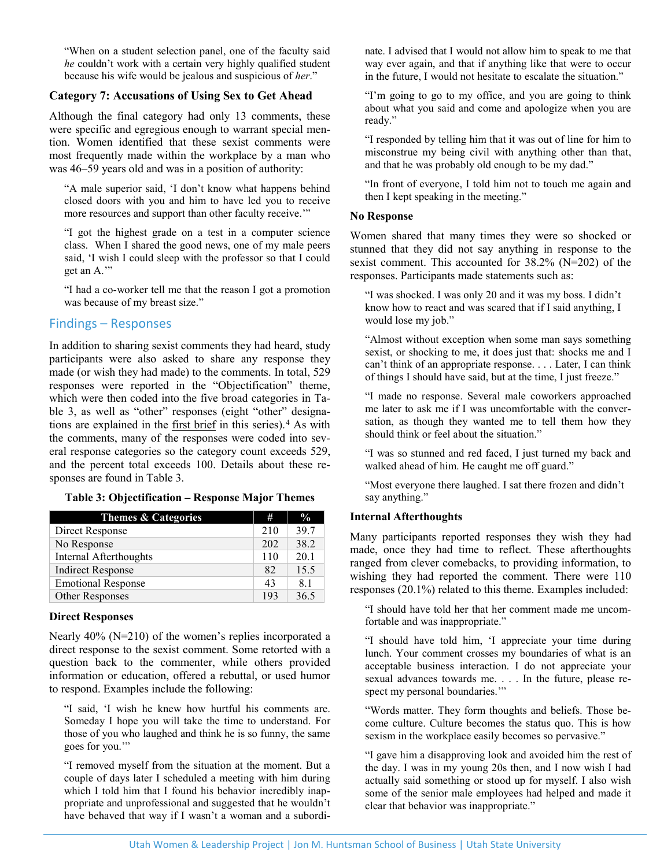"When on a student selection panel, one of the faculty said *he* couldn't work with a certain very highly qualified student because his wife would be jealous and suspicious of *her*."

## **Category 7: Accusations of Using Sex to Get Ahead**

Although the final category had only 13 comments, these were specific and egregious enough to warrant special mention. Women identified that these sexist comments were most frequently made within the workplace by a man who was 46–59 years old and was in a position of authority:

"A male superior said, 'I don't know what happens behind closed doors with you and him to have led you to receive more resources and support than other faculty receive.'"

"I got the highest grade on a test in a computer science class. When I shared the good news, one of my male peers said, 'I wish I could sleep with the professor so that I could get an A.'"

"I had a co-worker tell me that the reason I got a promotion was because of my breast size."

# Findings – Responses

In addition to sharing sexist comments they had heard, study participants were also asked to share any response they made (or wish they had made) to the comments. In total, 529 responses were reported in the "Objectification" theme, which were then coded into the five broad categories in Table 3, as well as "other" responses (eight "other" designations are explained in the [first brief](https://www.usu.edu/uwlp/files/briefs/38-sexist-comments-study-introduction-overview.pdf) in this series). [4](#page-5-3) As with the comments, many of the responses were coded into several response categories so the category count exceeds 529, and the percent total exceeds 100. Details about these responses are found in Table 3.

#### **Table 3: Objectification – Response Major Themes**

| <b>Themes &amp; Categories</b> | #   | $\frac{0}{2}$ |
|--------------------------------|-----|---------------|
| Direct Response                | 210 | 39.7          |
| No Response                    | 202 | 38.2          |
| Internal Afterthoughts         | 110 | 20.1          |
| <b>Indirect Response</b>       | 82  | 15.5          |
| <b>Emotional Response</b>      | 43  | 8.1           |
| Other Responses                | 193 | 36.5          |

#### **Direct Responses**

Nearly 40% (N=210) of the women's replies incorporated a direct response to the sexist comment. Some retorted with a question back to the commenter, while others provided information or education, offered a rebuttal, or used humor to respond. Examples include the following:

"I said, 'I wish he knew how hurtful his comments are. Someday I hope you will take the time to understand. For those of you who laughed and think he is so funny, the same goes for you.'"

"I removed myself from the situation at the moment. But a couple of days later I scheduled a meeting with him during which I told him that I found his behavior incredibly inappropriate and unprofessional and suggested that he wouldn't have behaved that way if I wasn't a woman and a subordinate. I advised that I would not allow him to speak to me that way ever again, and that if anything like that were to occur in the future, I would not hesitate to escalate the situation."

"I'm going to go to my office, and you are going to think about what you said and come and apologize when you are ready."

"I responded by telling him that it was out of line for him to misconstrue my being civil with anything other than that, and that he was probably old enough to be my dad."

"In front of everyone, I told him not to touch me again and then I kept speaking in the meeting."

#### **No Response**

Women shared that many times they were so shocked or stunned that they did not say anything in response to the sexist comment. This accounted for 38.2% (N=202) of the responses. Participants made statements such as:

"I was shocked. I was only 20 and it was my boss. I didn't know how to react and was scared that if I said anything, I would lose my job."

"Almost without exception when some man says something sexist, or shocking to me, it does just that: shocks me and I can't think of an appropriate response. . . . Later, I can think of things I should have said, but at the time, I just freeze."

"I made no response. Several male coworkers approached me later to ask me if I was uncomfortable with the conversation, as though they wanted me to tell them how they should think or feel about the situation."

"I was so stunned and red faced, I just turned my back and walked ahead of him. He caught me off guard."

"Most everyone there laughed. I sat there frozen and didn't say anything."

#### **Internal Afterthoughts**

Many participants reported responses they wish they had made, once they had time to reflect. These afterthoughts ranged from clever comebacks, to providing information, to wishing they had reported the comment. There were 110 responses (20.1%) related to this theme. Examples included:

"I should have told her that her comment made me uncomfortable and was inappropriate."

"I should have told him, 'I appreciate your time during lunch. Your comment crosses my boundaries of what is an acceptable business interaction. I do not appreciate your sexual advances towards me. . . . In the future, please respect my personal boundaries."

"Words matter. They form thoughts and beliefs. Those become culture. Culture becomes the status quo. This is how sexism in the workplace easily becomes so pervasive."

"I gave him a disapproving look and avoided him the rest of the day. I was in my young 20s then, and I now wish I had actually said something or stood up for myself. I also wish some of the senior male employees had helped and made it clear that behavior was inappropriate."